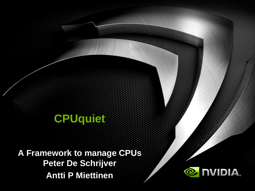#### **CPUquiet**

**A Framework to manage CPUs Peter De Schrijver Antti P Miettinen**

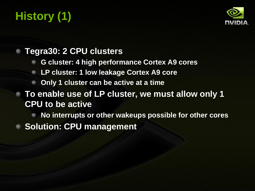# **History (1)**



#### **Tegra30: 2 CPU clusters**

- **G cluster: 4 high performance Cortex A9 cores**
- **LP cluster: 1 low leakage Cortex A9 core**
- **Only 1 cluster can be active at a time**

#### **To enable use of LP cluster, we must allow only 1 CPU to be active**

- **No interrupts or other wakeups possible for other cores**
- **Solution: CPU management**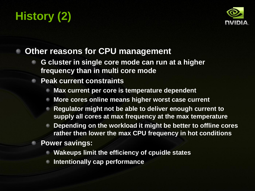# **History (2)**



#### **Other reasons for CPU management**

- **G cluster in single core mode can run at a higher frequency than in multi core mode**
- **Peak current constraints**
	- **Max current per core is temperature dependent**
	- **More cores online means higher worst case current**
	- **Regulator might not be able to deliver enough current to supply all cores at max frequency at the max temperature**
	- **Depending on the workload it might be better to offline cores rather then lower the max CPU frequency in hot conditions**
	- **Power savings:**
		- **Wakeups limit the efficiency of cpuidle states**
		- **Intentionally cap performance**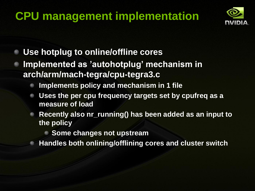## **CPU management implementation**



- **Use hotplug to online/offline cores**
- **Implemented as 'autohotplug' mechanism in arch/arm/mach-tegra/cpu-tegra3.c**
	- **Implements policy and mechanism in 1 file**
	- **Uses the per cpu frequency targets set by cpufreq as a measure of load**
	- **Recently also nr\_running() has been added as an input to the policy**
		- **Some changes not upstream**
		- **Handles both onlining/offlining cores and cluster switch**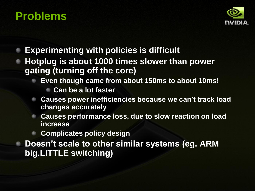### **Problems**



- **Experimenting with policies is difficult**
- **Hotplug is about 1000 times slower than power gating (turning off the core)**
	- **Even though came from about 150ms to about 10ms!**
		- **Can be a lot faster**
	- **Causes power inefficiencies because we can't track load changes accurately**
	- **Causes performance loss, due to slow reaction on load increase**
	- **Complicates policy design**
	- **Doesn't scale to other similar systems (eg. ARM big.LITTLE switching)**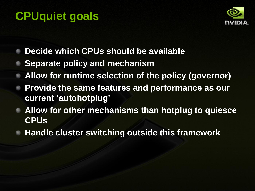## **CPUquiet goals**



- **Decide which CPUs should be available**
- **Separate policy and mechanism**
- **Allow for runtime selection of the policy (governor)**
- **Provide the same features and performance as our current 'autohotplug'**
- **Allow for other mechanisms than hotplug to quiesce CPUs**
- **Handle cluster switching outside this framework**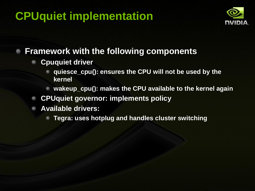### **CPUquiet implementation**



#### **Framework with the following components**

- **Cpuquiet driver**
	- **quiesce\_cpu(): ensures the CPU will not be used by the kernel**
	- **wakeup\_cpu(): makes the CPU available to the kernel again**
- **CPUquiet governor: implements policy**
- **Available drivers:**
	- **Tegra: uses hotplug and handles cluster switching**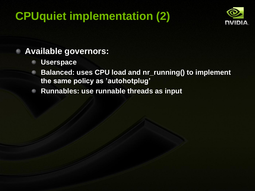### **CPUquiet implementation (2)**



#### **Available governors:**

- **Userspace**
- **Balanced: uses CPU load and nr\_running() to implement**   $\bullet$ **the same policy as 'autohotplug'**
- **Runnables: use runnable threads as input** $\bullet$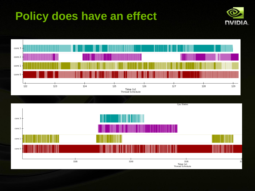### **Policy does have an effect**